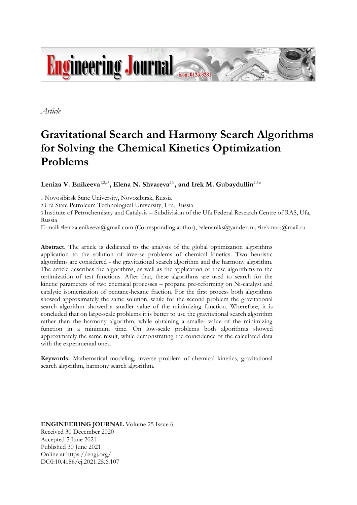

*Article*

# **Gravitational Search and Harmony Search Algorithms for Solving the Chemical Kinetics Optimization Problems**

 $\mathbf{Leniza\ V. Enikeeva}^{1,2,\mathfrak{a}^{\ast}}, \mathbf{Elena\ N. \ Shvareva}^{2,\mathfrak{b}}, \text{and Irek\ M. \ Gubaydullin}^{2,3,\mathfrak{c}}$ 

1 Novosibirsk State University, Novosibirsk, Russia

2 Ufa State Petroleum Technological University, Ufa, Russia

3 Institute of Petrochemistry and Catalysis – Subdivision of the Ufa Federal Research Centre of RAS, Ufa, Russia

E-mail: <sup>a</sup> leniza.enikeeva@gmail.com (Corresponding author), <sup>b</sup>elenaniks@yandex.ru, <sup>c</sup> irekmars@mail.ru

**Abstract.** The article is dedicated to the analysis of the global optimization algorithms application to the solution of inverse problems of chemical kinetics. Two heuristic algorithms are considered - the gravitational search algorithm and the harmony algorithm. The article describes the algorithms, as well as the application of these algorithms to the optimization of test functions. After that, these algorithms are used to search for the kinetic parameters of two chemical processes – propane pre-reforming on Ni-catalyst and catalytic isomerization of pentane-hexane fraction. For the first process both algorithms showed approximately the same solution, while for the second problem the gravitational search algorithm showed a smaller value of the minimizing function. Wherefore, it is concluded that on large-scale problems it is better to use the gravitational search algorithm rather than the harmony algorithm, while obtaining a smaller value of the minimizing function in a minimum time. On low-scale problems both algorithms showed approximately the same result, while demonstrating the coincidence of the calculated data with the experimental ones.

**Keywords:** Mathematical modeling, inverse problem of chemical kinetics, gravitational search algorithm, harmony search algorithm.

**ENGINEERING JOURNAL** Volume 25 Issue 6 Received 30 December 2020 Accepted 5 June 2021 Published 30 June 2021 Online at https://engj.org/ DOI:10.4186/ej.2021.25.6.107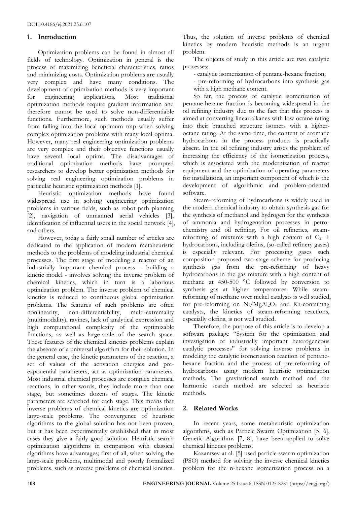# **1. Introduction**

Optimization problems can be found in almost all fields of technology. Optimization in general is the process of maximizing beneficial characteristics, ratios and minimizing costs. Optimization problems are usually very complex and have many conditions. The development of optimization methods is very important for engineering applications. Most traditional optimization methods require gradient information and therefore cannot be used to solve non-differentiable functions. Furthermore, such methods usually suffer from falling into the local optimum trap when solving complex optimization problems with many local optima. However, many real engineering optimization problems are very complex and their objective functions usually have several local optima. The disadvantages of traditional optimization methods have prompted researchers to develop better optimization methods for solving real engineering optimization problems in particular heuristic optimization methods [1].

Heuristic optimization methods have found widespread use in solving engineering optimization problems in various fields, such as robot path planning [2], navigation of unmanned aerial vehicles [3], identification of influential users in the social network [4], and others.

However, today a fairly small number of articles are dedicated to the application of modern metaheuristic methods to the problems of modeling industrial chemical processes. The first stage of modeling a reactor of an industrially important chemical process - building a kinetic model - involves solving the inverse problem of chemical kinetics, which in turn is a laborious optimization problem. The inverse problem of chemical kinetics is reduced to continuous global optimization problems. The features of such problems are often nonlinearity, non-differentiability, multi-extremality (multimodality), ravines, lack of analytical expression and high computational complexity of the optimizable functions, as well as large-scale of the search space. These features of the chemical kinetics problems explain the absence of a universal algorithm for their solution. In the general case, the kinetic parameters of the reaction, a set of values of the activation energies and preexponential parameters, act as optimization parameters. Most industrial chemical processes are complex chemical reactions, in other words, they include more than one stage, but sometimes dozens of stages. The kinetic parameters are searched for each stage. This means that inverse problems of chemical kinetics are optimization large-scale problems. The convergence of heuristic algorithms to the global solution has not been proven, but it has been experimentally established that in most cases they give a fairly good solution. Heuristic search optimization algorithms in comparison with classical algorithms have advantages; first of all, when solving the large-scale problems, multimodal and poorly formalized problems, such as inverse problems of chemical kinetics.

Thus, the solution of inverse problems of chemical kinetics by modern heuristic methods is an urgent problem.

The objects of study in this article are two catalytic processes:

- catalytic isomerization of pentane-hexane fraction;
- pre-reforming of hydrocarbons into synthesis gas with a high methane content.

So far, the process of catalytic isomerization of pentane-hexane fraction is becoming widespread in the oil refining industry due to the fact that this process is aimed at converting linear alkanes with low octane rating into their branched structure isomers with a higheroctane rating. At the same time, the content of aromatic hydrocarbons in the process products is practically absent. In the oil refining industry arises the problem of increasing the efficiency of the isomerization process, which is associated with the modernization of reactor equipment and the optimization of operating parameters for installations, an important component of which is the development of algorithmic and problem-oriented software.

Steam-reforming of hydrocarbons is widely used in the modern chemical industry to obtain synthesis gas for the synthesis of methanol and hydrogen for the synthesis of ammonia and hydrogenation processes in petrochemistry and oil refining. For oil refineries, steamreforming of mixtures with a high content of  $C_2$  + hydrocarbons, including olefins, (so-called refinery gases) is especially relevant. For processing gases such composition proposed two-stage scheme for producing synthesis gas from the pre-reforming of heavy hydrocarbons in the gas mixture with a high content of methane at 450-500 °C followed by conversion to synthesis gas at higher temperatures. While steamreforming of methane over nickel catalysts is well studied, for pre-reforming on Ni/MgAl<sub>2</sub>O<sub>4</sub> and Rh-containing catalysts, the kinetics of steam-reforming reactions, especially olefins, is not well studied.

Therefore, the purpose of this article is to develop a software package "System for the optimization and investigation of industrially important heterogeneous catalytic processes" for solving inverse problems in modeling the catalytic isomerization reaction of pentanehexane fraction and the process of pre-reforming of hydrocarbons using modern heuristic optimization methods. The gravitational search method and the harmonic search method are selected as heuristic methods.

# **2. Related Works**

In recent years, some metaheuristic optimization algorithms, such as Particle Swarm Optimization [5, 6], Genetic Algorithms [7, 8], have been applied to solve chemical kinetics problems.

Kazantsev at al. [5] used particle swarm optimization (PSO) method for solving the inverse chemical kinetics problem for the n-hexane isomerization process on a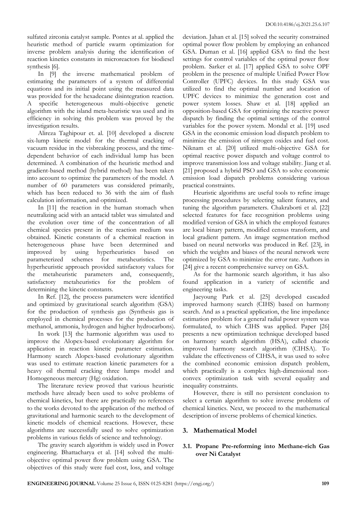sulfated zirconia catalyst sample. Pontes at al. applied the heuristic method of particle swarm optimization for inverse problem analysis during the identification of reaction kinetics constants in microreactors for biodiesel synthesis [6].

In [9] the inverse mathematical problem of estimating the parameters of a system of differential equations and its initial point using the measured data was provided for the hexadecane disintegration reaction. A specific heterogeneous multi-objective genetic algorithm with the island meta-heuristic was used and its efficiency in solving this problem was proved by the investigation results.

Alireza Taghipour et. al. [10] developed a discrete six-lump kinetic model for the thermal cracking of vacuum residue in the visbreaking process, and the timedependent behavior of each individual lump has been determined. A combination of the heuristic method and gradient-based method (hybrid method) has been taken into account to optimize the parameters of the model. A number of 60 parameters was considered primarily, which has been reduced to 36 with the aim of flash calculation information, and optimized.

In [11] the reaction in the human stomach when neutralizing acid with an antacid tablet was simulated and the evolution over time of the concentration of all chemical species present in the reaction medium was obtained. Kinetic constants of a chemical reaction in heterogeneous phase have been determined and improved by using hyperheuristics based on parameterized schemes for metaheuristics. The hyperheuristic approach provided satisfactory values for the metaheuristic parameters and, consequently, satisfactory metaheuristics for the problem of determining the kinetic constants.

In Ref. [12], the process parameters were identified and optimized by gravitational search algorithm (GSA) for the production of synthesis gas (Synthesis gas is employed in chemical processes for the production of methanol, ammonia, hydrogen and higher hydrocarbons).

In work [13] the harmonic algorithm was used to improve the Alopex-based evolutionary algorithm for application in reaction kinetic parameter estimation. Harmony search Alopex-based evolutionary algorithm was used to estimate reaction kinetic parameters for a heavy oil thermal cracking three lumps model and Homogeneous mercury (Hg) oxidation.

The literature review proved that various heuristic methods have already been used to solve problems of chemical kinetics, but there are practically no references to the works devoted to the application of the method of gravitational and harmonic search to the development of kinetic models of chemical reactions. However, these algorithms are successfully used to solve optimization problems in various fields of science and technology.

The gravity search algorithm is widely used in Power engineering. Bhattacharya et al. [14] solved the multiobjective optimal power flow problem using GSA. The objectives of this study were fuel cost, loss, and voltage

deviation. Jahan et al. [15] solved the security constrained optimal power flow problem by employing an enhanced GSA. Duman et al. [16] applied GSA to find the best settings for control variables of the optimal power flow problem. Sarker et al. [17] applied GSA to solve OPF problem in the presence of multiple Unified Power Flow Controller (UPFC) devices. In this study GSA was utilized to find the optimal number and location of UPFC devices to minimize the generation cost and power system losses. Shaw et al. [18] applied an opposition-based GSA for optimizing the reactive power dispatch by finding the optimal settings of the control variables for the power system. Mondal et al. [19] used GSA in the economic emission load dispatch problem to minimize the emission of nitrogen oxides and fuel cost. Niknam et al. [20] utilized multi-objective GSA for optimal reactive power dispatch and voltage control to improve transmission loss and voltage stability. Jiang et al. [21] proposed a hybrid PSO and GSA to solve economic emission load dispatch problems considering various practical constraints.

Heuristic algorithms are useful tools to refine image processing procedures by selecting salient features, and tuning the algorithm parameters. Chakraborti et al. [22] selected features for face recognition problems using modified version of GSA in which the employed features are local binary pattern, modified census transform, and local gradient pattern. An image segmentation method based on neural networks was produced in Ref. [23], in which the weights and biases of the neural network were optimized by GSA to minimize the error rate. Authors in [24] give a recent comprehensive survey on GSA.

As for the harmonic search algorithm, it has also found application in a variety of scientific and engineering tasks.

Jaeyoung Park et al. [25] developed cascaded improved harmony search (CIHS) based on harmony search. And as a practical application, the line impedance estimation problem for a general radial power system was formulated, to which CIHS was applied. Paper [26] presents a new optimization technique developed based on harmony search algorithm (HSA), called chaotic improved harmony search algorithm (CIHSA). To validate the effectiveness of CIHSA, it was used to solve the combined economic emission dispatch problem, which practically is a complex high-dimensional nonconvex optimization task with several equality and inequality constraints.

However, there is still no persistent conclusion to select a certain algorithm to solve inverse problems of chemical kinetics. Next, we proceed to the mathematical description of inverse problems of chemical kinetics.

# **3. Mathematical Model**

# **3.1. Propane Pre-reforming into Methane-rich Gas over Ni Catalyst**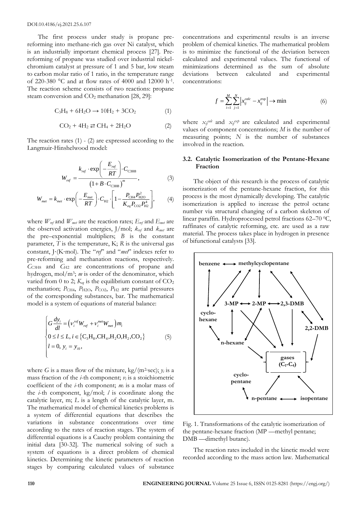DOI:10.4186/ej.2021.25.6.107

The first process under study is propane prereforming into methane-rich gas over Ni catalyst, which is an industrially important chemical process [27]. Prereforming of propane was studied over industrial nickelchromium catalyst at pressure of 1 and 5 bar, low steam to carbon molar ratio of 1 ratio, in the temperature range of 220-380 °C and at flow rates of 4000 and 12000 h-1 . The reaction scheme consists of two reactions: propane steam conversion and CO<sub>2</sub> methanation [28, 29]:

$$
C_3H_8 + 6H_2O \rightarrow 10H_2 + 3CO_2 \tag{1}
$$

$$
CO2 + 4H2 \ncong CH4 + 2H2O \n(2)
$$

The reaction rates (1) - (2) are expressed according to the Langmuir-Hinshelwood model:

$$
W_{ref} = \frac{k_{ref} \cdot \exp\left(-\frac{E_{ref}}{RT}\right) \cdot C_{\text{C3HS}}}{\left(1 + B \cdot C_{\text{C3HS}}\right)^m},\tag{3}
$$

$$
W_{\text{met}} = k_{\text{met}} \cdot \exp\left(-\frac{E_{\text{met}}}{RT}\right) \cdot C_{\text{H2}} \cdot \left[1 - \frac{P_{\text{CH4}} P_{\text{H2O}}^2}{K_{\text{eq}} P_{\text{CO2}} P_{\text{H2}}^4}\right],\tag{4}
$$

where  $W_{ref}$  and  $W_{met}$  are the reaction rates;  $E_{ref}$  and  $E_{met}$  are the observed activation energies, J/mol; *kref* and *kmet* are the pre–exponential multipliers; *B* is the constant parameter, *T* is the temperature, K; *R* is the universal gas constant, J⋅(K⋅mol). The "*ref*" and "*met*" indexes refer to pre-reforming and methanation reactions, respectively. *C*C3H8 and *C*H2 are concentrations of propane and hydrogen, mol/m<sup>3</sup> ; *m* is order of the denominator, which varied from 0 to 2;  $K_{eq}$  is the equilibrium constant of  $CO<sub>2</sub>$ methanation;  $P_{\text{CH4}}$ ,  $P_{\text{H2O}}$ ,  $P_{\text{CO2}}$ ,  $P_{\text{H2}}$  are partial pressures of the corresponding substances, bar. The mathematical model is a system of equations of material balance:

$$
\begin{cases}\nG \frac{dy_i}{dl} = \left( v_i^{ref} W_{ref} + v_i^{met} W_{met} \right) m_i \\
0 \le l \le L, i \in \{ C_3 H_8, CH_4, H_2O, H_2, CO_2 \} \\
l = 0, y_i = y_{i0},\n\end{cases} \tag{5}
$$

where *G* is a mass flow of the mixture, kg/(m<sup>2</sup>·sec);  $y_i$  is a mass fraction of the *i*-th component; *ν<sup>i</sup>* is a stoichiometric coefficient of the *i*-th component; *m<sup>i</sup>* is a molar mass of the *i*-th component, kg/mol; *l* is coordinate along the catalytic layer, m; *L* is a length of the catalytic layer, m. The mathematical model of chemical kinetics problems is a system of differential equations that describes the variations in substance concentrations over time according to the rates of reaction stages. The system of differential equations is a Cauchy problem containing the initial data [30-32]. The numerical solving of such a system of equations is a direct problem of chemical kinetics. Determining the kinetic parameters of reaction stages by comparing calculated values of substance

concentrations and experimental results is an inverse problem of chemical kinetics. The mathematical problem is to minimize the functional of the deviation between calculated and experimental values. The functional of minimizations determined as the sum of absolute deviations between calculated and experimental concentrations:

$$
f = \sum_{i=1}^{M} \sum_{j=1}^{N} \left| x_{ij}^{calc} - x_{ij}^{exp} \right| \to \min \tag{6}
$$

where  $x_{ij}$ <sup>calc</sup> and  $x_{ij}$ <sup>cap</sup> are calculated and experimental values of component concentrations; *M* is the number of measuring points; *N* is the number of substances involved in the reaction.

### **3.2. Catalytic Isomerization of the Pentane-Hexane Fraction**

The object of this research is the process of catalytic isomerization of the pentane-hexane fraction, for this process is the most dynamically developing. The catalytic isomerization is applied to increase the petrol octane number via structural changing of a carbon skeleton of linear paraffin. Hydroprocessed petrol fractions 62-70 °C, raffinates of catalytic reforming, etc. are used as a raw material. The process takes place in hydrogen in presence of bifunctional catalysts [33].



Fig. 1. Transformations of the catalytic isomerization of the pentane-hexane fraction (MP —methyl pentane; DMB —dimethyl butane).

The reaction rates included in the kinetic model were recorded according to the mass action law. Mathematical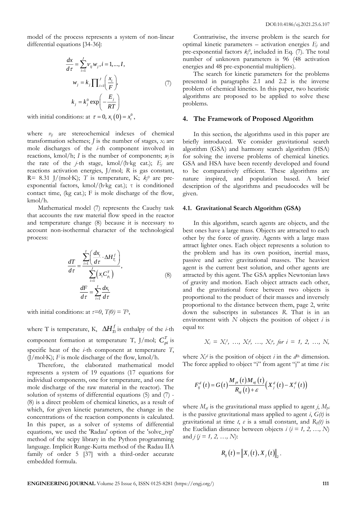model of the process represents a system of non-linear differential equations [34-36]:

$$
\frac{dx}{d\tau} = \sum_{i=1}^{J} \nu_{ij} w_j, i = 1, ..., I,
$$
  
\n
$$
w_j = k_j \prod_{i=1}^{J} \left(\frac{x_i}{F}\right),
$$
  
\n
$$
k_j = k_j^0 \exp\left(-\frac{E_j}{RT}\right)
$$
\n(7)

with initial conditions: at  $\tau = 0$ ,  $x_i(0) = x_i^0$ ,

where *νij* are stereochemical indexes of chemical transformation schemes;  $\bar{J}$  is the number of stages,  $x_i$  are mole discharges of the *i*-th component involved in reactions, kmol/h; *I* is the number of components;  $w_i$  is the rate of the *j*-th stage, kmol/(h∙kg cat.); *E<sup>j</sup>* are reactions activation energies, J/mol; *R* is gas constant, R= 8.31 J/(mol∙K); *T* is temperature, K; *k<sup>j</sup> <sup>0</sup>* are preexponential factors, kmol/(h∙kg cat.); τ is conditioned contact time, (kg cat.); F is mole discharge of the flow, kmol/h.

Mathematical model (7) represents the Cauchy task that accounts the raw material flow speed in the reactor and temperature change (8) because it is necessary to account non-isothermal character of the technological process:

$$
\frac{dT}{d\tau} = \frac{\sum_{i=1}^{I} \left( \frac{dx_i}{d\tau} \cdot \Delta H_{T_i}^f \right)}{\sum_{i=1}^{I} \left( x_i C_{p_i}^T \right)},
$$
\n
$$
\frac{dF}{d\tau} = \sum_{i=1}^{I} \frac{dx_i}{d\tau}
$$
\n(8)

with initial conditions: at  $\tau=0$ ,  $T(0)=T^0$ ,

where T is temperature, K,  $\Delta H_{Ti}^f$  is enthalpy of the *i*-th component formation at temperature T, J/mol;  $C_{pi}^{T}$  is specific heat of the *i*-th component at temperature *T*, (J/mol∙K); *F* is mole discharge of the flow, kmol/h.

Therefore, the elaborated mathematical model represents a system of 19 equations (17 equations for individual components, one for temperature, and one for mole discharge of the raw material in the reactor). The solution of systems of differential equations (5) and (7) - (8) is a direct problem of chemical kinetics, as a result of which, for given kinetic parameters, the change in the concentrations of the reaction components is calculated. In this paper, as a solver of systems of differential equations, we used the 'Radau' option of the 'solve\_ivp' method of the scipy library in the Python programming language. Implicit Runge-Kutta method of the Radau IIA family of order 5 [37] with a third-order accurate embedded formula.

Contrariwise, the inverse problem is the search for optimal kinetic parameters – activation energies *E<sup>j</sup>* and pre-exponential factors  $k_j^0$ , included in Eq. (7). The total number of unknown parameters is 96 (48 activation energies and 48 pre-exponential multipliers).

The search for kinetic parameters for the problems presented in paragraphs 2.1 and 2.2 is the inverse problem of chemical kinetics. In this paper, two heuristic algorithms are proposed to be applied to solve these problems.

# **4. The Framework of Proposed Algorithm**

In this section, the algorithms used in this paper are briefly introduced. We consider gravitational search algorithm (GSA) and harmony search algorithm (HSA) for solving the inverse problems of chemical kinetics. GSA and HSA have been recently developed and found to be comparatively efficient. These algorithms are nature inspired, and population based. A brief description of the algorithms and pseudocodes will be given.

#### **4.1. Gravitational Search Algorithm (GSA)**

In this algorithm, search agents are objects, and the best ones have a large mass. Objects are attracted to each other by the force of gravity. Agents with a large mass attract lighter ones. Each object represents a solution to the problem and has its own position, inertial mass, passive and active gravitational masses. The heaviest agent is the current best solution, and other agents are attracted by this agent. The GSA applies Newtonian laws of gravity and motion. Each object attracts each other, and the gravitational force between two objects is proportional to the product of their masses and inversely proportional to the distance between them, page 2, write down the subscripts in substances *R*. That is in an environment with *N* objects the position of object *i* is equal to:

$$
X_i = X_i^1, \ldots, X_i^d, \ldots, X_i^n, \text{ for } i = 1, 2, \ldots, N,
$$

where  $X_i^d$  is the position of object *i* in the  $d^{\text{th}}$  dimension. The force applied to object "i" from agent "j" at time *t* is:

$$
F_{ij}^{d}(t) = G(t) \frac{M_{\rho t}(t) M_{aj}(t)}{R_{aj}(t) + \varepsilon} (X_{j}^{d}(t) - X_{i}^{d}(t))
$$

where *Maj* is the gravitational mass applied to agent *j*, *Mpi* is the passive gravitational mass applied to agent *i*, *G(t)* is gravitational at time *t*, *ε* is a small constant, and *Rij(t)* is the Euclidian distance between objects  $i$  ( $i = 1, 2, ..., N$ ) and  $j$  ( $j = 1, 2, ..., N$ ):

$$
R_{ij}(t) = \left\| X_i(t), X_j(t) \right\|_2.
$$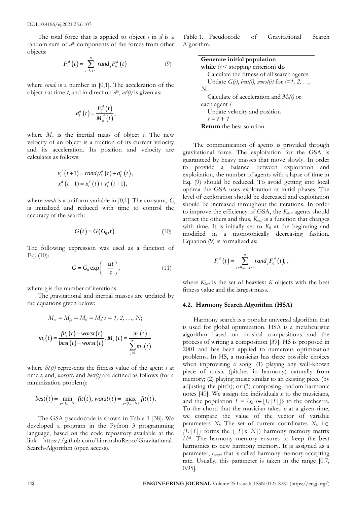DOI:10.4186/ej.2021.25.6.107

The total force that is applied to object *i* in *d* is a random sum of  $d<sup>th</sup>$  components of the forces from other objects:

$$
F_i^d\left(t\right) = \sum_{j=1,\,j\neq i}^N rand_j F_{ij}^d\left(t\right) \tag{9}
$$

where *rand<sub>i</sub>* is a number in [0,1]. The acceleration of the object *i* at time *t*, and in direction  $d^{th}$ ,  $a^{d}(t)$  is given as:

$$
a_i^d\left(t\right) = \frac{F_{ij}^d\left(t\right)}{M_{ii}^d\left(t\right)},
$$

where  $M_{ii}$  is the inertial mass of object *i*. The new velocity of an object is a fraction of its current velocity and its acceleration. Its position and velocity are calculates as follows:

$$
v_i^d(t+1) = rand_i v_i^d(t) + a_i^d(t),
$$
  

$$
x_i^d(t+1) = x_i^d(t) + v_i^d(t+1),
$$

where *rand<sup>i</sup>* is a uniform variable in [0,1]. The constant, *G*, is initialized and reduced with time to control the accuracy of the search:

$$
G(t) = G(G_0, t). \tag{10}
$$

The following expression was used as a function of Eq. (10):

$$
G = G_0 \exp\left(-\frac{\alpha t}{z}\right),\tag{11}
$$

where *z* is the number of iterations.

The gravitational and inertial masses are updated by the equations given below:

$$
M_{ai} = M_{pi} = M_{ii} = M_s; i = 1, 2, ..., N;
$$
  

$$
m_i(t) = \frac{fit_i(t) - worst(t)}{best(t) - worst(t)}, M_i(t) = \frac{m_i(t)}{\sum_{j=1}^{N} m_j(t)}
$$

where  $\hat{f}$ *i* $t_i$ <sup>*(t)*</sup> represents the fitness value of the agent *i* at time *t*, and, *worst(t)* and *best(t)* are defined as follows (for a minimization problem):

$$
best(t) = \min_{j \in \{1, \ldots, N\}} fit(t), worst(t) = \max_{j \in \{1, \ldots, N\}} fit(t).
$$

The GSA pseudocode is shown in Table 1 [38]. We developed a program in the Python 3 programming language, based on the code repository available at the link https://github.com/himanshuRepo/Gravitational-Search-Algorithm (open access).

Table 1. Pseudocode of Gravitational Search Algorithm.

| Generate initial population                                       |
|-------------------------------------------------------------------|
| while $(t \leq$ stopping criterion) do                            |
| Calculate the fitness of all search agents                        |
| Update $G(i)$ , <i>best(i)</i> , <i>worst(i)</i> for $i=1, 2, $ , |
| N.                                                                |
| Calculate of acceleration and $M_i(t)$ or                         |
| each agent <i>i</i>                                               |
| Update velocity and position                                      |
| $t = t + 1$                                                       |
| <b>Return</b> the best solution                                   |

The communication of agents is provided through gravitational force. The exploitation for the GSA is guaranteed by heavy masses that move slowly. In order to provide a balance between exploration and exploitation, the number of agents with a lapse of time in Eq. (9) should be reduced. To avoid getting into local optima the GSA uses exploration at initial phases. The level of exploration should be decreased and exploitation should be increased throughout the iterations. In order to improve the efficiency of GSA, the *Kbest* agents should attract the others and thus, *Kbest* is a function that changes with time. It is initially set to  $K_0$  at the beginning and modified in a monotonically decreasing fashion. Equation (9) is formalized as:

$$
F_i^d(t) = \sum_{j \in K_{best}, j \neq i}^{N} rand_j F_{ij}^d(t),
$$

where  $K_{best}$  is the set of heaviest  $K$  objects with the best fitness value and the largest mass.

#### **4.2. Harmony Search Algorithm (HSA)**

Harmony search is a popular universal algorithm that is used for global optimization. HSA is a metaheuristic algorithm based on musical compositions and the process of writing a composition [39]. HS is proposed in 2001 and has been applied to numerous optimization problems. In HS, a musician has three possible choices when improvising a song: (1) playing any well-known piece of music (pitches in harmony) naturally from memory; (2) playing music similar to an existing piece (by adjusting the pitch); or (3) composing random harmonic notes [40]. We assign the individuals  $s_i$  to the musicians, and the population  $S = \{s_i, i \in [1:|S|]\}$  to the orchestra. To the chord that the musician takes *s<sup>i</sup>* at a given time, we compare the value of the vector of variable parameters  $X_i$ . The set of current coordinates  $X_i$ ,  $i \in$  $[1:|S|]$  forms the  $(|S|X|X|)$  harmony memory matrix *HM*. The harmony memory ensures to keep the best harmonies to new harmony memory. It is assigned as a parameter,  $r_{\text{accept}}$  that is called harmony memory accepting rate. Usually, this parameter is taken in the range [0.7, 0.95].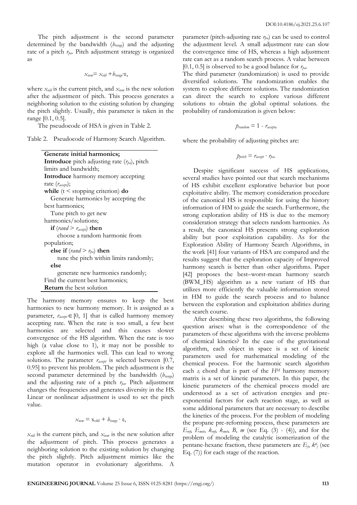The pitch adjustment is the second parameter determined by the bandwidth (*brange*) and the adjusting rate of a pitch *rpa*. Pitch adjustment strategy is organized as

 $x_{\text{new}} = x_{\text{old}} + b_{\text{range}}$ •ε,

where *xold* is the current pitch, and *xnew* is the new solution after the adjustment of pitch. This process generates a neighboring solution to the existing solution by changing the pitch slightly. Usually, this parameter is taken in the range [0.1, 0.5].

The pseudocode of HSA is given in Table 2.

|  | Table 2. Pseudocode of Harmony Search Algorithm. |  |  |  |
|--|--------------------------------------------------|--|--|--|
|--|--------------------------------------------------|--|--|--|

| Generate initial harmonics;                              |
|----------------------------------------------------------|
| <b>Introduce</b> pitch adjusting rate $(r_{pa})$ , pitch |
| limits and bandwidth;                                    |
| <b>Introduce</b> harmony memory accepting                |
| rate $(r_{\text{accept}});$                              |
| while $(t \leq$ stopping criterion) do                   |
| Generate harmonics by accepting the                      |
| best harmonics:                                          |
| Tune pitch to get new                                    |
| harmonics/solutions;                                     |
| if $(rand > r_{accept})$ then                            |
| choose a random harmonic from                            |
| population;                                              |
| else if $(rand > r_{pa})$ then                           |
| tune the pitch within limits randomly;                   |
| else                                                     |
| generate new harmonics randomly;                         |
| Find the current best harmonics;                         |
| <b>Return</b> the best solution                          |

The harmony memory ensures to keep the best harmonies to new harmony memory. It is assigned as a parameter,  $r_{\text{accept}} \in [0, 1]$  that is called harmony memory accepting rate. When the rate is too small, a few best harmonies are selected and this causes slower convergence of the HS algorithm. When the rate is too high (a value close to 1), it may not be possible to explore all the harmonies well. This can lead to wrong solutions. The parameter  $r_{\text{accept}}$  is selected between [0.7, 0.95] to prevent his problem. The pitch adjustment is the second parameter determined by the bandwidth (*brange*) and the adjusting rate of a pitch *rpa*. Pitch adjustment changes the frequencies and generates diversity in the HS. Linear or nonlinear adjustment is used to set the pitch value.

$$
x_{\text{new}} = x_{\text{old}} + b_{\text{range}} \cdot \varepsilon,
$$

*xold* is the current pitch, and *xnew* is the new solution after the adjustment of pitch. This process generates a neighboring solution to the existing solution by changing the pitch slightly. Pitch adjustment mimics like the mutation operator in evolutionary algorithms. A

parameter (pitch-adjusting rate *rpa*) can be used to control the adjustment level. A small adjustment rate can slow the convergence time of HS, whereas a high adjustment rate can act as a random search process. A value between [0.1, 0.5] is observed to be a good balance for *rpa*.

The third parameter (randomization) is used to provide diversified solutions. The randomization enables the system to explore different solutions. The randomization can direct the search to explore various different solutions to obtain the global optimal solutions. the probability of randomization is given below:

$$
p_{random} = 1 - r_{accept},
$$

where the probability of adjusting pitches are:

$$
p_{\text{pitch}} = r_{\text{accept}} \cdot r_{\text{pa}}.
$$

Despite significant success of HS applications, several studies have pointed out that search mechanisms of HS exhibit excellent explorative behavior but poor exploitative ability. The memory consideration procedure of the canonical HS is responsible for using the history information of HM to guide the search. Furthermore, the strong exploration ability of HS is due to the memory consideration strategy that selects random harmonies. As a result, the canonical HS presents strong exploration ability but poor exploitation capability. As for the Exploration Ability of Harmony Search Algorithms, in the work [41] four variants of HSA are compared and the results suggest that the exploration capacity of Improved harmony search is better than other algorithms. Paper [42] proposes the best–worst-mean harmony search (BWM\_HS) algorithm as a new variant of HS that utilizes more efficiently the valuable information stored in HM to guide the search process and to balance between the exploration and exploitation abilities during the search course.

After describing these two algorithms, the following question arises: what is the correspondence of the parameters of these algorithms with the inverse problems of chemical kinetics? In the case of the gravitational algorithm, each object in space is a set of kinetic parameters used for mathematical modeling of the chemical process. For the harmonic search algorithm each  $s_i$  chord that is part of the  $H^M$  harmony memory matrix is a set of kinetic parameters. In this paper, the kinetic parameters of the chemical process model are understood as a set of activation energies and preexponential factors for each reaction stage, as well as some additional parameters that are necessary to describe the kinetics of the process. For the problem of modeling the propane pre-reforming process, these parameters are  $E_{\text{ref}}$ ,  $E_{\text{met}}$ ,  $k_{\text{ref}}$ ,  $k_{\text{met}}$ ,  $B$ ,  $m$  (see Eq. (3) - (4)), and for the problem of modeling the catalytic isomerization of the pentane-hexane fraction, these parameters are  $E_j$ ,  $k^0_j$  (see Eq. (7)) for each stage of the reaction.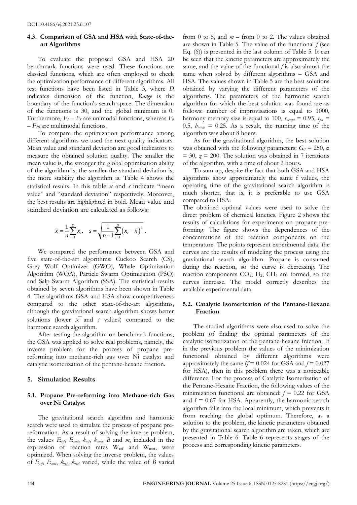#### **4.3. Comparison of GSA and HSA with State-of-theart Algorithms**

To evaluate the proposed GSA and HSA 20 benchmark functions were used. These functions are classical functions, which are often employed to check the optimization performance of different algorithms. All test functions have been listed in Table 3, where *D* indicates dimension of the function, *Range* is the boundary of the function's search space. The dimension of the functions is 30, and the global minimum is 0. Furthermore,  $F_1 - F_8$  are unimodal functions, whereas  $F_9$ – *F<sup>20</sup>* are multimodal functions.

To compare the optimization performance among different algorithms we used the next quality indicators. Mean value and standard deviation are good indicators to measure the obtained solution quality. The smaller the mean value is, the stronger the global optimization ability of the algorithm is; the smaller the standard deviation is, the more stability the algorithm is. Table 4 shows the statistical results. In this table  $\overline{x}$  and *s* indicate "mean value" and "standard deviation" respectively. Moreover, the best results are highlighted in bold. Mean value and standard deviation are calculated as follows:

$$
\overline{x} = \frac{1}{n} \sum_{i=1}^{n} x_i
$$
,  $s = \sqrt{\frac{1}{n-1} \sum_{i=1}^{n} (x_i - \overline{x})^2}$ .

We compared the performance between GSA and five state-of-the-art algorithms: Cuckoo Search (CS), Grey Wolf Optimizer (GWO), Whale Optimization Algorithm (WOA), Particle Swarm Optimization (PSO) and Salp Swarm Algorithm (SSA). The statistical results obtained by seven algorithms have been shown in Table 4. The algorithms GSA and HSA show competitiveness compared to the other state-of-the-art algorithms, although the gravitational search algorithm shows better solutions (lower  $\overline{x}$  and *s* values) compared to the harmonic search algorithm.

After testing the algorithm on benchmark functions, the GSA was applied to solve real problems, namely, the inverse problem for the process of propane prereforming into methane-rich gas over Ni catalyst and catalytic isomerization of the pentane-hexane fraction.

#### **5. Simulation Results**

# **5.1. Propane Pre-reforming into Methane-rich Gas over Ni Catalyst**

The gravitational search algorithm and harmonic search were used to simulate the process of propane prereformation. As a result of solving the inverse problem, the values  $E_{ref}$ ,  $E_{met}$ ,  $k_{ref}$ ,  $k_{met}$ ,  $B$  and  $m$ , included in the expression of reaction rates  $W_{ref}$  and  $W_{met}$ , were optimized. When solving the inverse problem, the values of *Eref*, *Emet*, *kref*, *kmet* varied, while the value of *B* varied

from 0 to 5, and  $m -$  from 0 to 2. The values obtained are shown in Table 5. The value of the functional *f* (see Eq. (6)) is presented in the last column of Table 5. It can be seen that the kinetic parameters are approximately the same, and the value of the functional *f* is also almost the same when solved by different algorithms – GSA and HSA. The values shown in Table 5 are the best solutions obtained by varying the different parameters of the algorithms. The parameters of the harmonic search algorithm for which the best solution was found are as follows: number of improvisations is equal to 1000, harmony memory size is equal to 100,  $r_{\text{accept}} = 0.95$ ,  $r_{\text{pa}} =$ 0.5,  $b_{range} = 0.25$ . As a result, the running time of the algorithm was about 8 hours.

As for the gravitational algorithm, the best solution was obtained with the following parameters:  $G_0 = 250$ ,  $\alpha$  $= 30, z = 200$ . The solution was obtained in 7 iterations of the algorithm, with a time of about 2 hours.

To sum up, despite the fact that both GSA and HSA algorithms show approximately the same f values, the operating time of the gravitational search algorithm is much shorter, that is, it is preferable to use GSA compared to HSA.

The obtained optimal values were used to solve the direct problem of chemical kinetics. Figure 2 shows the results of calculations for experiments on propane preforming. The figure shows the dependences of the concentrations of the reaction components on the temperature. The points represent experimental data; the curves are the results of modeling the process using the gravitational search algorithm. Propane is consumed during the reaction, so the curve is decreasing. The reaction components  $CO<sub>2</sub>$ ,  $H<sub>2</sub>$ ,  $CH<sub>4</sub>$  are formed, so the curves increase. The model correctly describes the available experimental data.

#### **5.2. Catalytic Isomerization of the Pentane-Hexane Fraction**

The studied algorithms were also used to solve the problem of finding the optimal parameters of the catalytic isomerization of the pentane-hexane fraction. If in the previous problem the values of the minimization functional obtained by different algorithms were approximately the same  $(f = 0.024$  for GSA and  $f = 0.027$ for HSA), then in this problem there was a noticeable difference. For the process of Catalytic Isomerization of the Pentane-Hexane Fraction, the following values of the minimization functional are obtained:  $f = 0.22$  for GSA and  $f = 0.67$  for HSA. Apparently, the harmonic search algorithm falls into the local minimum, which prevents it from reaching the global optimum. Therefore, as a solution to the problem, the kinetic parameters obtained by the gravitational search algorithm are taken, which are presented in Table 6. Table 6 represents stages of the process and corresponding kinetic parameters.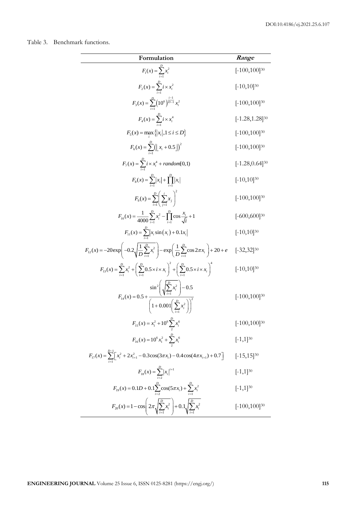Table 3. Benchmark functions.

| Formulation                                                                                                                                            | Range                |
|--------------------------------------------------------------------------------------------------------------------------------------------------------|----------------------|
| $F_1(x) = \sum_{i=1}^{B} x_i^2$                                                                                                                        | $[-100, 100]^{30}$   |
| $F_2(x) = \sum_{i=1}^{6} i \times x_i^2$                                                                                                               | $[-10, 10]^{30}$     |
| $F_3(x) = \sum_{i=1}^{D} \left(10^6\right)^{\frac{i-1}{D-1}} x_i^2$                                                                                    | $[-100, 100]^{30}$   |
| $F_4(x) = \sum_{i=1}^{n} i \times x_i^4$                                                                                                               | $[-1.28, 1.28]^{30}$ |
| $F_5(x) = \max_i \{ x_i , 1 \le i \le D\}$                                                                                                             | $[-100, 100]^{30}$   |
| $F_6(x) = \sum_{i=1}^{1} (\lfloor x_i + 0.5 \rfloor)^2$                                                                                                | $[-100, 100]^{30}$   |
| $F_7(x) = \sum_{i=1}^{6} i \times x_i^4 + random[0,1)$                                                                                                 | $[-1.28, 0.64]^{30}$ |
| $F_8(x) = \sum_{i=1}^{1}  x_i  + \prod_{i=1}^{1}  x_i $                                                                                                | $[-10, 10]^{30}$     |
| $F_9(x) = \sum_{i=1}^{D} \left( \sum_{i=1}^{i} x_i \right)$                                                                                            | $[-100, 100]^{30}$   |
| $F_{10}(x) = \frac{1}{4000} \sum_{i=1}^{D} x_i^2 - \prod_{i=1}^{D} \cos \frac{x_i}{\sqrt{i}} + 1$                                                      | $[-600, 600]^{30}$   |
| $F_{11}(x) = \sum_{i=1}^{12}  x_i \sin(x_i) + 0.1x_i $                                                                                                 | $[-10, 10]^{30}$     |
| $F_{12}(x) = -20 \exp \left(-0.2 \sqrt{\frac{1}{D} \sum_{i=1}^{D} x_i^2}\right) - \exp \left(\frac{1}{D} \sum_{i=1}^{D} \cos 2\pi x_i\right) + 20 + e$ | $[-32, 32]^{30}$     |
| $F_{13}(x) = \sum_{i=1}^{D} x_i^2 + \left(\sum_{i=1}^{D} 0.5 \times i \times x_i\right)^2 + \left(\sum_{i=1}^{D} 0.5 \times i \times x_i\right)^4$     | $[-10, 10]^{30}$     |
| $F_{14}(x) = 0.5 + \frac{\sin^2\left(\sqrt{\sum_{i=1}^{D} x_i^2}\right) - 0.5}{\left(1 + 0.001\left(\sum_{i=1}^{D} x_i^2\right)\right)^2}$             | $[-100, 100]^{30}$   |
| $F_{15}(x) = x_1^2 + 10^6 \sum_{i=1}^{6} x_i^6$                                                                                                        | $[-100, 100]^{30}$   |
| $F_{16}(x) = 10^6 x_1^2 + \sum_{i=1}^{6} x_i^6$                                                                                                        | $[-1,1]^{30}$        |
| $F_{17}(x) = \sum_{i=1}^{D-1} \left[ x_i^2 + 2x_{i+1}^2 - 0.3\cos(3\pi x_i) - 0.4\cos(4\pi x_{i+1}) + 0.7 \right]$                                     | $[-15, 15]^{30}$     |
| $F_{18}(x) = \sum_{i=2}^{6}  x_i ^{i+1}$                                                                                                               | $[-1,1]^{30}$        |
| $F_{19}(x) = 0.1D + 0.1\sum_{i=2}^{D} \cos(5\pi x_i) + \sum_{i=1}^{D} x_i^2$                                                                           | $[-1,1]^{30}$        |
| $F_{20}(x) = 1 - \cos \left( 2\pi \sqrt{\sum_{i=1}^{D} x_i^2} \right) + 0.1 \sqrt{\sum_{i=1}^{D} x_i^2}$                                               | $[-100, 100]^{30}$   |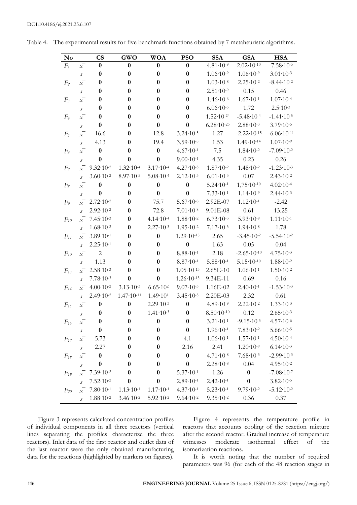| No             |                            | $\mathbf{C}\mathbf{S}$ | <b>GWO</b>            | <b>WOA</b>           | <b>PSO</b>            | <b>SSA</b>            | <b>GSA</b>             | <b>HSA</b>             |
|----------------|----------------------------|------------------------|-----------------------|----------------------|-----------------------|-----------------------|------------------------|------------------------|
| $F_t$          | $\chi$                     | 0                      | $\bf{0}$              | $\bf{0}$             | $\bf{0}$              | $4.81 \cdot 10^{-9}$  | $2.02 \cdot 10^{-10}$  | $-7.58 \cdot 10^{-5}$  |
|                | $\sqrt{s}$                 | $\boldsymbol{0}$       | $\bf{0}$              | $\boldsymbol{0}$     | $\boldsymbol{0}$      | $1.06 \cdot 10^{-9}$  | $1.06 \cdot 10^{-9}$   | $3.01 \cdot 10^{-3}$   |
| F <sub>2</sub> | $\overline{x}$             | $\boldsymbol{0}$       | $\bf{0}$              | $\bf{0}$             | $\boldsymbol{0}$      | $1.03 \cdot 10^{-8}$  | $2.25 \cdot 10^{-2}$   | $-8.44 \cdot 10^{-2}$  |
|                | $\sqrt{s}$                 | $\boldsymbol{0}$       | $\bf{0}$              | $\bf{0}$             | $\bf{0}$              | $2.51 \cdot 10^{-9}$  | 0.15                   | 0.46                   |
| $F_3$          | $\overline{x}$             | $\boldsymbol{0}$       | $\bf{0}$              | $\bf{0}$             | $\boldsymbol{0}$      | $1.46 \cdot 10^{-6}$  | $1.67 \cdot 10^{-1}$   | $1.07 \cdot 10^{-4}$   |
|                | $\sqrt{s}$                 | $\boldsymbol{0}$       | $\bf{0}$              | $\bf{0}$             | $\bf{0}$              | $6.06 \cdot 10^{-5}$  | 1.72                   | $2.5 \cdot 10^{-3}$    |
| F <sub>4</sub> | $\overline{x}$             | $\boldsymbol{0}$       | $\bf{0}$              | $\bf{0}$             | $\bf{0}$              | $1.52 \cdot 10^{-24}$ | $-5.48 \cdot 10^{-4}$  | $-1.41 \cdot 10^{-5}$  |
|                | $\sqrt{s}$                 | $\bf{0}$               | $\bf{0}$              | $\bf{0}$             | $\bf{0}$              | $6.28 \cdot 10^{-25}$ | $2.88 \cdot 10^{-3}$   | $3.79 \cdot 10^{-5}$   |
| $F_5$          | $\overline{x}$             | 16.6                   | $\bf{0}$              | 12.8                 | $3.24 \cdot 10^{-5}$  | 1.27                  | $-2.22 \cdot 10^{-15}$ | $-6.06 \cdot 10^{-11}$ |
|                | $\sqrt{s}$                 | 4.13                   | $\bf{0}$              | 19.4                 | $3.59 \cdot 10^{-5}$  | 1.53                  | $1.49 \cdot 10^{-14}$  | $1.07 \cdot 10^{-9}$   |
| $F_6$          | $\overline{x}$             | $\bf{0}$               | $\bf{0}$              | $\bf{0}$             | $4.67 \cdot 10^{-1}$  | 7.5                   | $1.84 \cdot 10^{-2}$   | $-7.09 \cdot 10^{-2}$  |
|                | s                          | $\boldsymbol{0}$       | $\bf{0}$              | $\bf{0}$             | $9.00 \cdot 10^{-1}$  | 4.35                  | 0.23                   | 0.26                   |
| F <sub>7</sub> | $\overline{x}$             | $9.32 \cdot 10^{-2}$   | $1.32 \cdot 10^{-4}$  | $3.17 \cdot 10^{-4}$ | $4.27 \cdot 10^{-3}$  | $1.87 \cdot 10^{-2}$  | $1.48 \cdot 10^{-2}$   | $-1.23 \cdot 10^{-3}$  |
|                | $\mathcal{S}$              | $3.60 \cdot 10^{-2}$   | $8.97 \cdot 10^{-5}$  | $5.08 \cdot 10^{-4}$ | $2.12 \cdot 10^{-3}$  | $6.01 \cdot 10^{-3}$  | 0.07                   | $2.43 \cdot 10^{-2}$   |
| $F_8$          | $\overline{x}$             | $\bf{0}$               | $\bf{0}$              | $\boldsymbol{0}$     | $\boldsymbol{0}$      | $5.24 \cdot 10^{-1}$  | $1,75.10-10$           | $4.02 \cdot 10^{-4}$   |
|                | $\boldsymbol{\mathcal{S}}$ | $\bf{0}$               | $\bf{0}$              | $\bf{0}$             | $\bf{0}$              | $7.33 \cdot 10^{-1}$  | $1.14 \cdot 10^{-9}$   | $2.44 \cdot 10^{-3}$   |
| F <sub>9</sub> | $\overline{x}$             | $2.72 \cdot 10^{-2}$   | $\bf{0}$              | 75.7                 | $5.67 \cdot 10^{-8}$  | 2.92E-07              | $1.12 \cdot 10^{-1}$   | $-2.42$                |
|                | $\mathcal{S}$              | $2.92 \cdot 10^{-2}$   | $\bf{0}$              | 72.8                 | $7.01 \cdot 10^{-8}$  | $9.01E-08$            | 0.61                   | 13.25                  |
| $F_{10}$       | $\overline{x}$             | $7.45 \cdot 10^{-3}$   | $\bf{0}$              | $4.14 \cdot 10^{-4}$ | $1.88 \cdot 10^{-2}$  | $6.73 \cdot 10^{-3}$  | $5.93 \cdot 10^{-9}$   | $1.11 \cdot 10^{-1}$   |
|                | $\mathcal{S}$              | $1.68 \cdot 10^{-2}$   | $\bf{0}$              | $2.27 \cdot 10^{-3}$ | $1.95 \cdot 10^{-2}$  | $7.17 \cdot 10^{-3}$  | $1.94 \cdot 10^{-8}$   | 1.78                   |
| $F_{11}$       | $\overline{x}$             | $3.89 \cdot 10^{-1}$   | $\bf{0}$              | $\bf{0}$             | $1.29 \cdot 10^{-15}$ | 2.65                  | $-3.45 \cdot 10^{-2}$  | $-5.54 \cdot 10^{-2}$  |
|                | $\mathcal{S}$              | $2.25 \cdot 10^{-1}$   | $\bf{0}$              | $\bf{0}$             | $\bf{0}$              | 1.63                  | 0.05                   | 0.04                   |
| $F_{12}$       | $\overline{x}$             | $\mathbf{2}$           | $\bf{0}$              | $\bf{0}$             | $8.88 \cdot 10^{-1}$  | 2.18                  | $-2.65 \cdot 10^{-10}$ | $4.75 \cdot 10^{-3}$   |
|                | $\boldsymbol{\mathcal{S}}$ | 1.13                   | $\bf{0}$              | $\bf{0}$             | $8.87 \cdot 10^{-1}$  | $5.88 \cdot 10^{-1}$  | $5.15 \cdot 10^{-10}$  | $1.88 \cdot 10^{-2}$   |
| $F_{13}$       | $\chi^2$                   | $2.58 \cdot 10^{-3}$   | $\bf{0}$              | $\bf{0}$             | $1.05 \cdot 10^{-13}$ | $2.65E-10$            | $1.06 \cdot 10^{-1}$   | $1.50 \cdot 10^{-2}$   |
|                | $\boldsymbol{\mathcal{S}}$ | $7.78 \cdot 10^{-3}$   | $\bf{0}$              | $\bf{0}$             | $1.26 \cdot 10^{-13}$ | 9.34E-11              | 0.69                   | 0.16                   |
| $F_{14}$       | $\overline{x}$             | $4.00 \cdot 10^{-2}$   | $3.13 \cdot 10^{-3}$  | $6.65 \cdot 10^{2}$  | $9.07 \cdot 10^{-3}$  | 1.16E-02              | $2.40 \cdot 10^{-1}$   | $-1.53 \cdot 10^{-3}$  |
|                | $\mathcal{S}$              | $2.49 \cdot 10^{-2}$   | $1.47 \cdot 10^{-11}$ | $1.49 \cdot 10^{1}$  | $3.45 \cdot 10^{-3}$  | 2.20E-03              | 2.32                   | 0.61                   |
| $F_{15}$       | $\overline{x}$             | $\boldsymbol{0}$       | $\bf{0}$              | $2.29 \cdot 10^{-3}$ | $\boldsymbol{0}$      | $4.89 \cdot 10^{-9}$  | $2.22 \cdot 10^{-2}$   | $1.33 \cdot 10^{-3}$   |
|                | $\boldsymbol{\mathcal{S}}$ | $\boldsymbol{0}$       | $\bf{0}$              | $1.41 \cdot 10^{-3}$ | $\boldsymbol{0}$      | $8.50 \cdot 10^{-10}$ | 0.12                   | $2.65 \cdot 10^{-3}$   |
| $F_{16}$       | $\chi$ <sup>-</sup>        | $\bf{0}$               | $\boldsymbol{0}$      | $\bf{0}$             | $\pmb{0}$             | $3.21 \cdot 10^{-1}$  | $-9.15 \cdot 10^{-3}$  | $4.57 \cdot 10^{-6}$   |
|                | $\boldsymbol{\mathcal{S}}$ | $\boldsymbol{0}$       | $\boldsymbol{0}$      | $\boldsymbol{0}$     | $\boldsymbol{0}$      | $1.96 \cdot 10^{-1}$  | $7.83 \cdot 10^{-2}$   | $5.66 \cdot 10^{-5}$   |
| $F_{17}$       | $\overline{x}$             | 5.73                   | $\bf{0}$              | $\bf{0}$             | 4.1                   | $1.06 \cdot 10^{-1}$  | $1.57 \cdot 10^{-1}$   | $4.50 \cdot 10^{-4}$   |
|                | $\boldsymbol{\mathcal{S}}$ | 2.27                   | $\bf{0}$              | $\boldsymbol{0}$     | 2.16                  | 2.41                  | $1.20 \cdot 10^{-9}$   | $6.14 \cdot 10^{-3}$   |
| $F_{18}$       | $\overline{x}$             | $\bf{0}$               | $\bf{0}$              | $\bf{0}$             | $\boldsymbol{0}$      | $4.71 \cdot 10^{-8}$  | $7.68 \cdot 10^{-3}$   | $-2.99 \cdot 10^{-3}$  |
|                | $\sqrt{s}$                 | $\bf{0}$               | $\bf{0}$              | $\boldsymbol{0}$     | $\bf{0}$              | $2.28 \cdot 10^{-8}$  | 0.04                   | $4.95 \cdot 10^{-2}$   |
| $F_{19}$       | $\overline{x}$             | $7.39 \cdot 10^{-2}$   | $\bf{0}$              | $\bf{0}$             | $5.37 \cdot 10^{-1}$  | 1.26                  | $\bf{0}$               | $-7.08 \cdot 10^{-7}$  |
|                | $\sqrt{s}$                 | $7.52 \cdot 10^{-2}$   | $\bf{0}$              | $\bf{0}$             | $2.89 \cdot 10^{-1}$  | $2.42 \cdot 10^{-1}$  | $\bf{0}$               | $3.82 \cdot 10^{-5}$   |
| $F_{20}$       | $\overline{x}$             | $7.80 \cdot 10^{-1}$   | $1.13 \cdot 10^{-1}$  | $1.17 \cdot 10^{-1}$ | $4.37 \cdot 10^{-1}$  | $5.23 \cdot 10^{-1}$  | $9.79 \cdot 10^{-2}$   | $-5.12 \cdot 10^{-2}$  |
|                | $\sqrt{s}$                 | $1.88 \cdot 10^{-2}$   | $3.46 \cdot 10^{-2}$  | $5.92 \cdot 10^{-2}$ | $9.64 \cdot 10^{-2}$  | $9.35 \cdot 10^{-2}$  | 0.36                   | 0.37                   |

Table 4. The experimental results for five benchmark functions obtained by 7 metaheuristic algorithms.

Figure 3 represents calculated concentration profiles of individual components in all three reactors (vertical lines separating the profiles characterize the three reactors). Inlet data of the first reactor and outlet data of the last reactor were the only obtained manufacturing data for the reactions (highlighted by markers on figures).

Figure 4 represents the temperature profile in reactors that accounts cooling of the reaction mixture after the second reactor. Gradual increase of temperature witnesses moderate isothermal effect of the isomerization reactions.

It is worth noting that the number of required parameters was 96 (for each of the 48 reaction stages in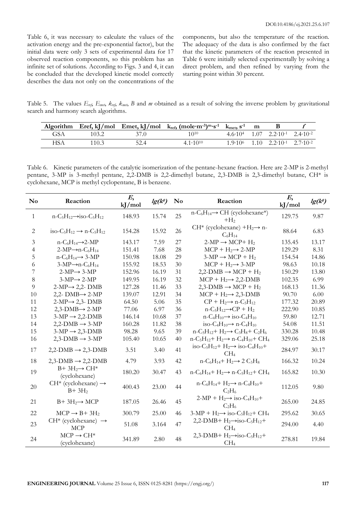Table 6, it was necessary to calculate the values of the activation energy and the pre-exponential factor), but the initial data were only 3 sets of experimental data for 17 observed reaction components, so this problem has an infinite set of solutions. According to Figs. 3 and 4, it can be concluded that the developed kinetic model correctly describes the data not only on the concentrations of the components, but also the temperature of the reaction. The adequacy of the data is also confirmed by the fact that the kinetic parameters of the reaction presented in Table 6 were initially selected experimentally by solving a direct problem, and then refined by varying from the starting point within 30 percent.

Table 5. The values *Eref*, *Emet*, *kref*, *kmet*, *B* and *m* obtained as a result of solving the inverse problem by gravitational search and harmony search algorithms.

|     |       |      | Algorithm Eref, kJ/mol Emet, kJ/mol $k_{ref}$ , (mole·m <sup>-3</sup> ) <sup>m</sup> ·s <sup>-1</sup> $k_{met}$ , s <sup>-1</sup> |  |                                                                 |  |
|-----|-------|------|-----------------------------------------------------------------------------------------------------------------------------------|--|-----------------------------------------------------------------|--|
| GSA | 103.2 | 37.0 | 1010                                                                                                                              |  | $4.6.10^{4}$ $1.07$ $2.2.10^{1}$ $2.4.10^{2}$                   |  |
| HSA | 110.3 | 52.4 | $4.1 \cdot 10^{10}$                                                                                                               |  | $1.9 \cdot 10^6$ $1.10$ $2.2 \cdot 10^{-1}$ $2.7 \cdot 10^{-2}$ |  |

Table 6. Kinetic parameters of the catalytic isomerization of the pentane-hexane fraction. Here are 2-MP is 2-methyl pentane, 3-MP is 3-methyl pentane, 2,2-DMB is 2,2-dimethyl butane, 2,3-DMB is 2,3-dimethyl butane, CH\* is cyclohexane, MCP is methyl cyclopentane, B is benzene.

| $\mathbf{N}\mathbf{o}$ | Reaction                                                                          | E,<br>kJ/mol | $lg(k^{\theta})$ | $\mathbf{N}\mathbf{o}$ | Reaction                                                                                                                  | $E_{\rm s}$<br>kJ/mol | $lg(k^{\theta})$ |
|------------------------|-----------------------------------------------------------------------------------|--------------|------------------|------------------------|---------------------------------------------------------------------------------------------------------------------------|-----------------------|------------------|
| $\mathbf{1}$           | $n-C_5H_{12}\rightarrow$ iso-C <sub>5</sub> H <sub>12</sub>                       | 148.93       | 15.74            | 25                     | $n-C_6H_{14} \rightarrow CH$ (cyclohexane*)<br>$+H2$                                                                      | 129.75                | 9.87             |
| $\overline{2}$         | iso-C <sub>5</sub> H <sub>12</sub> $\rightarrow$ n-C <sub>5</sub> H <sub>12</sub> | 154.28       | 15.92            | 26                     | CH <sup>*</sup> (cyclohexane) $+H_2 \rightarrow n$<br>$C_6H_{14}$                                                         | 88.64                 | 6.83             |
| 3                      | $n-C_6H_{14} \rightarrow 2-MP$                                                    | 143.17       | 7.59             | 27                     | $2-MP \rightarrow MCP+H_2$                                                                                                | 135.45                | 13.17            |
| $\overline{4}$         | $2-MP \rightarrow n-C_6H_{14}$                                                    | 151.41       | 7.68             | 28                     | $MCP + H_2 \rightarrow 2-MP$                                                                                              | 129.29                | 8.31             |
| 5                      | $n-C_6H_{14} \rightarrow 3-MP$                                                    | 150.98       | 18.08            | 29                     | $3-MP \rightarrow MCP + H_2$                                                                                              | 154.54                | 14.86            |
| 6                      | $3-MP \rightarrow n-C_6H_{14}$                                                    | 155.92       | 18.53            | 30                     | $MCP + H_2 \rightarrow 3-MP$                                                                                              | 98.63                 | 10.18            |
| 7                      | $2-MP \rightarrow 3-MP$                                                           | 152.96       | 16.19            | 31                     | $2,2$ -DMB $\rightarrow$ MCP + H <sub>2</sub>                                                                             | 150.29                | 13.80            |
| 8                      | $3-MP \rightarrow 2-MP$                                                           | 149.95       | 16.19            | 32                     | $MCP + H_2 \rightarrow 2,2-DMB$                                                                                           | 102.35                | 6.99             |
| 9                      | $2-MP \rightarrow 2,2$ - DMB                                                      | 127.28       | 11.46            | 33                     | $2,3$ -DMB $\rightarrow$ MCP + H <sub>2</sub>                                                                             | 168.13                | 11.36            |
| 10                     | 2,2- $DMB \rightarrow 2-MP$                                                       | 139.07       | 12.91            | 34                     | $MCP + H_2 \rightarrow 2,3-DMB$                                                                                           | 90.70                 | 6.00             |
| 11                     | $2-MP \rightarrow 2,3$ - DMB                                                      | 64.50        | 5.06             | 35                     | $CP + H_2 \rightarrow n-C_5H_{12}$                                                                                        | 177.32                | 20.89            |
| 12                     | $2,3$ -DMB $\rightarrow$ 2-MP                                                     | 77.06        | 6.97             | 36                     | $n-C_5H_{12} \rightarrow CP + H_2$                                                                                        | 222.90                | 10.85            |
| 13                     | $3-MP \rightarrow 2,2-DMB$                                                        | 146.14       | 10.68            | 37                     | $n-C_4H_{10} \rightarrow$ iso-C <sub>4</sub> H <sub>10</sub>                                                              | 59.80                 | 12.71            |
| 14                     | $2,2$ -DMB $\rightarrow$ 3-MP                                                     | 160.28       | 11.82            | 38                     | iso-C <sub>4</sub> H <sub>10</sub> $\rightarrow$ n-C <sub>4</sub> H <sub>10</sub>                                         | 54.08                 | 11.51            |
| 15                     | $3-MP \rightarrow 2,3-DMB$                                                        | 98.28        | 9.65             | 39                     | $n-C_5H_{12}+H_2 \rightarrow C_3H_8+C_2H_6$                                                                               | 330.28                | 10.48            |
| 16                     | $2,3-DMB \rightarrow 3-MP$                                                        | 105.40       | 10.65            | 40                     | $n-C_5H_{12}+H_2 \rightarrow n-C_4H_{10}+CH_4$                                                                            | 329.06                | 25.18            |
| 17                     | $2,2-DMB \rightarrow 2,3-DMB$                                                     | 3.51         | 3.40             | 41                     | iso-C <sub>5</sub> H <sub>12</sub> + H <sub>2</sub> $\rightarrow$ iso-C <sub>4</sub> H <sub>10</sub> +<br>CH <sub>4</sub> | 284.97                | 30.17            |
| 18                     | $2,3$ -DMB $\rightarrow$ 2,2-DMB                                                  | 4.79         | 3.93             | 42                     | $n-C_6H_{14}$ + $H_2 \rightarrow 2 C_3H_8$                                                                                | 166.32                | 10.24            |
| 19                     | $B+3H_2 \rightarrow CH^*$<br>(cyclohexane)                                        | 180.20       | 30.47            | 43                     | $n-C_6H_{14}$ + $H_2 \rightarrow n-C_5H_{12}$ + CH <sub>4</sub>                                                           | 165.82                | 10.30            |
| 20                     | $CH^*$ (cyclohexane) $\rightarrow$<br>$B+3H2$                                     | 400.43       | 23.00            | 44                     | $n-C_6H_{14}+H_2 \rightarrow n-C_4H_{10}+$<br>$C_2H_6$                                                                    | 112.05                | 9.80             |
| 21                     | $B+3H_2 \rightarrow MCP$                                                          | 187.05       | 26.46            | 45                     | $2-MP + H_2 \rightarrow$ iso-C <sub>4</sub> H <sub>10</sub> +<br>$C_2H_6$                                                 | 265.00                | 24.85            |
| 22                     | $MCP \rightarrow B + 3H_2$                                                        | 300.79       | 25.00            | 46                     | $3-MP + H_2 \rightarrow$ iso-C <sub>5</sub> H <sub>12</sub> + CH <sub>4</sub>                                             | 295.62                | 30.65            |
| 23                     | CH <sup>*</sup> (cyclohexane) $\rightarrow$<br><b>MCP</b>                         | 51.08        | 3.164            | 47                     | $2,2-DMB+H_2 \rightarrow iso-C_5H_{12}+$<br>CH <sub>4</sub>                                                               | 294.00                | 4.40             |
| 24                     | $MCP \rightarrow CH^*$<br>(cyclohexane)                                           | 341.89       | 2.80             | 48                     | $2,3$ -DMB+ $H_2 \rightarrow$ iso-C <sub>5</sub> H <sub>12</sub> +<br>CH <sub>4</sub>                                     | 278.81                | 19.84            |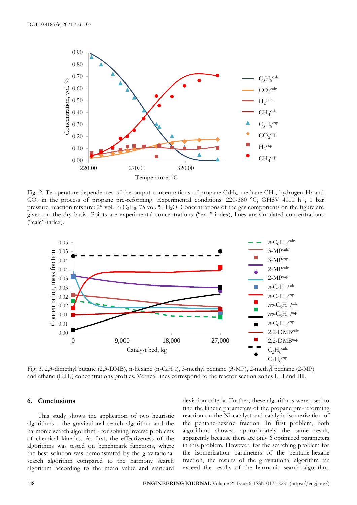

Fig. 2. Temperature dependences of the output concentrations of propane  $C_3H_8$ , methane CH<sub>4</sub>, hydrogen H<sub>2</sub> and CO<sup>2</sup> in the process of propane pre-reforming. Experimental conditions: 220-380 °C, GHSV 4000 h-1 , 1 bar pressure, reaction mixture: 25 vol. % C3H8, 75 vol. % H2O. Concentrations of the gas components on the figure are given on the dry basis. Points are experimental concentrations ("exp"-index), lines are simulated concentrations ("calc"-index).



Fig. 3. 2,3-dimethyl butane  $(2,3-DMB)$ , n-hexane  $(n-C<sub>6</sub>H<sub>14</sub>)$ , 3-methyl pentane  $(3-MP)$ , 2-methyl pentane  $(2-MP)$ and ethane (C3H8) concentrations profiles. Vertical lines correspond to the reactor section zones I, II and III.

#### **6. Conclusions**

This study shows the application of two heuristic algorithms - the gravitational search algorithm and the harmonic search algorithm - for solving inverse problems of chemical kinetics. At first, the effectiveness of the algorithms was tested on benchmark functions, where the best solution was demonstrated by the gravitational search algorithm compared to the harmony search algorithm according to the mean value and standard

deviation criteria. Further, these algorithms were used to find the kinetic parameters of the propane pre-reforming reaction on the Ni-catalyst and catalytic isomerization of the pentane-hexane fraction. In first problem, both algorithms showed approximately the same result, apparently because there are only 6 optimized parameters in this problem. However, for the searching problem for the isomerization parameters of the pentane-hexane fraction, the results of the gravitational algorithm far exceed the results of the harmonic search algorithm.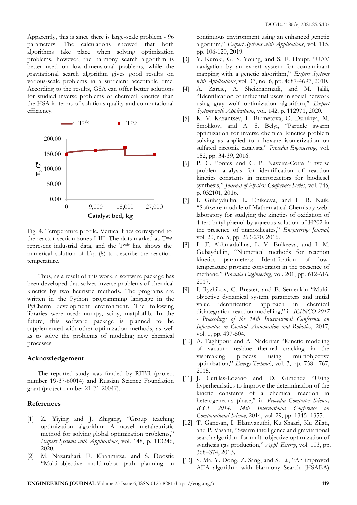Apparently, this is since there is large-scale problem - 96 parameters. The calculations showed that both algorithms take place when solving optimization problems, however, the harmony search algorithm is better used on low-dimensional problems, while the gravitational search algorithm gives good results on various-scale problems in a sufficient acceptable time. According to the results, GSA can offer better solutions for studied inverse problems of chemical kinetics than the HSA in terms of solutions quality and computational efficiency.



Fig. 4. Temperature profile. Vertical lines correspond to the reactor section zones I-III. The dots marked as Texp represent industrial data, and the Tcalc line shows the numerical solution of Eq. (8) to describe the reaction temperature.

Thus, as a result of this work, a software package has been developed that solves inverse problems of chemical kinetics by two heuristic methods. The programs are written in the Python programming language in the PyCharm development environment. The following libraries were used: numpy, scipy, matplotlib. In the future, this software package is planned to be supplemented with other optimization methods, as well as to solve the problems of modeling new chemical processes.

#### **Acknowledgement**

The reported study was funded by RFBR (project number 19-37-60014) and Russian Science Foundation grant (project number 21-71-20047).

#### **References**

- [1] Z. Yiying and J. Zhigang, "Group teaching optimization algorithm: A novel metaheuristic method for solving global optimization problems," *Expert Systems with Applications*, vol. 148, p. 113246, 2020.
- [2] M. Nazarahari, E. Khanmirza, and S. Doostie "Multi-objective multi-robot path planning in

continuous environment using an enhanced genetic algorithm," *Expert Systems with Applications*, vol. 115, pp. 106-120, 2019.

- [3] Y. Kuroki, G. S. Young, and S. E. Haupt, "UAV navigation by an expert system for contaminant mapping with a genetic algorithm," *Expert Systems with Applications*, vol. 37, no. 6, pp. 4687-4697, 2010.
- [4] A. Zareie, A. Sheikhahmadi, and M. Jalili, "Identification of influential users in social network using gray wolf optimization algorithm," *Expert Systems with Applications*, vol. 142, p. 112971, 2020.
- [5] K. V. Kazantsev, L. Bikmetova, O. Dzhikiya, M. Smolikov, and A. S. Belyi, "Particle swarm optimization for inverse chemical kinetics problem solving as applied to n-hexane isomerization on sulfated zirconia catalysts," *Procedia Engineering*, vol. 152, pp. 34-39, 2016.
- [6] P. C. Pontes and C. P. Naveira-Cotta "Inverse problem analysis for identification of reaction kinetics constants in microreactors for biodiesel synthesis," *Journal of Physics: Conference Series*, vol. 745, p. 032101, 2016.
- [7] I. Gubaydullin, L. Enikeeva, and L. R. Naik, "Software module of Mathematical Chemistry weblaboratory for studying the kinetics of oxidation of 4-tert-butyl-phenol by aqueous solution of H202 in the presence of titanosilicates," *Engineering Journal*, vol. 20, no. 5, pp. 263-270, 2016.
- [8] L. F. Akhmadullina, L. V. Enikeeva, and I. M. Gubaydullin, "Numerical methods for reaction kinetics parameters: Identification of lowtemperature propane conversion in the presence of methane," *Procedia Engineering*, vol. 201, pp. 612-616, 2017.
- [9] I. Ryzhikov, C. Brester, and E. Semenkin "Multiobjective dynamical system parameters and initial value identification approach in chemical disintegration reaction modelling," in *ICINCO 2017 - Proceedings of the 14th International Conference on Informatics in Control, Automation and Robotics*, 2017, vol. 1, pp. 497-504.
- [10] A. Taghipour and A. Naderifar "Kinetic modeling of vacuum residue thermal cracking in the visbreaking process using multiobjective optimization," *Energy Technol*., vol. 3, pp. 758 –767, 2015.
- [11] J. Cutillas-Lozano and D. Gimenez "Using hyperheuristics to improve the determination of the kinetic constants of a chemical reaction in heterogeneous phase," in *Procedia Computer Science, ICCS 2014. 14th International Conference on Computational Science*, 2014, vol. 29, pp. 1345–1355.
- [12] T. Ganesan, I. Elamvazuthi, Ku Shaari, Ku Zilati, and P. Vasant, "Swarm intelligence and gravitational search algorithm for multi-objective optimization of synthesis gas production," *Appl. Energy*, vol. 103, pp. 368–374, 2013.
- [13] S. Ma, Y. Dong, Z. Sang, and S. Li., "An improved AEA algorithm with Harmony Search (HSAEA)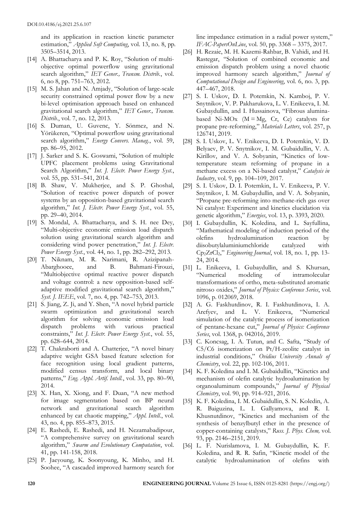and its application in reaction kinetic parameter estimation," *Applied Soft Computing*, vol. 13, no. 8, pp. 3505–3514, 2013.

- [14] A. Bhattacharya and P. K. Roy, "Solution of multiobjective optimal powerflow using gravitational search algorithm," *IET Gener., Transm. Distrib.*, vol. 6, no 8, pp. 751–763, 2012.
- [15] M. S. Jahan and N. Amjady, "Solution of large-scale security constrained optimal power flow by a new bi-level optimisation approach based on enhanced gravitational search algorithm," *IET Gener., Transm. Distrib.*, vol. 7, no. 12, 2013.
- [16] S. Duman, U. Guvenc, Y. Sönmez, and N. Yörükeren, "Optimal powerflow using gravitational search algorithm," *Energy Convers. Manag.*, vol. 59, pp. 86–95, 2012.
- [17] J. Sarker and S. K. Goswami, "Solution of multiple UPFC placement problems using Gravitational Search Algorithm," *Int. J. Electr. Power Energy Syst.*, vol. 55, pp. 531–541, 2014.
- [18] B. Shaw, V. Mukherjee, and S. P. Ghoshal, "Solution of reactive power dispatch of power systems by an opposition-based gravitational search algorithm," *Int. J. Electr. Power Energy Syst.*, vol. 55, pp. 29–40, 2014.
- [19] S. Mondal, A. Bhattacharya, and S. H. nee Dey, "Multi-objective economic emission load dispatch solution using gravitational search algorithm and considering wind power penetration," *Int. J. Electr. Power Energy Syst.*, vol. 44, no. 1, pp. 282–292, 2013.
- [20] T. Niknam, M. R. Narimani, R. Azizipanah-Abarghooee, and B. Bahmani-Firouzi, "Multiobjective optimal reactive power dispatch and voltage control: a new opposition-based selfadaptive modified gravitational search algorithm," *Syst. J. IEEE*, vol. 7, no. 4, pp. 742–753, 2013.
- [21] S. Jiang, Z. Ji, and Y. Shen, "A novel hybrid particle swarm optimization and gravitational search algorithm for solving economic emission load dispatch problems with various practical constraints," *Int. J. Electr. Power Energy Syst.*, vol. 55, pp. 628–644, 2014.
- [22] T. Chakraborti and A. Chatterjee, "A novel binary adaptive weight GSA based feature selection for face recognition using local gradient patterns, modified census transform, and local binary patterns," *Eng. Appl. Artif. Intell.*, vol. 33, pp. 80–90, 2014.
- [23] X. Han, X. Xiong, and F. Duan, "A new method for image segmentation based on BP neural network and gravitational search algorithm enhanced by cat chaotic mapping," *Appl. Intell.*, vol. 43, no. 4, pp. 855–873, 2015.
- [24] E. Rashedi, E. Rashedi, and H. Nezamabadipour, "A comprehensive survey on gravitational search algorithm," *Swarm and Evolutionary Computation*, vol. 41, pp. 141-158, 2018.
- [25] P. Jaeyoung, K. Soonyoung, K. Minho, and H. Soohee, "A cascaded improved harmony search for

line impedance estimation in a radial power system," *IFAC-PapersOnLine*, vol. 50, pp. 3368 – 3375, 2017.

- [26] H. Rezaie, M. H. Kazemi-Rahbar, B. Vahidi, and H. Rastegar, "Solution of combined economic and emission dispatch problem using a novel chaotic improved harmony search algorithm," *Journal of Computational Design and Engineering*, vol. 6, no. 3, pp. 447–467, 2018.
- [27] S. I. Uskov, D. I. Potemkin, N. Kamboj, P. V. Snytnikov, V. P. Pakharukova, L. V. Enikeeva, I. M. Gubaydullin, and I. Hussainova, "Fibrous aluminabased Ni-MOx  $(M = Mg, Cr, Ce)$  catalysts for propane pre-reforming," *Materials Letters*, vol. 257, p. 126741, 2019.
- [28] S. I. Uskov, L. V. Enikeeva, D. I. Potemkin, V. D. Belyaev, P. V. Snytnikov, I. M. Gubaidullin, V. A. Kirillov, and V. A. Sobyanin, "Kinetics of lowtemperature steam reforming of propane in a methane excess on a Ni-based catalyst," *Catalysis in Industry*, vol. 9, pp. 104–109, 2017.
- [29] S. I. Uskov, D. I. Potemkin, L. V. Enikeeva, P. V. Snytnikov, I. M. Gubaydullin, and V. A. Sobyanin, "Propane pre-reforming into methane-rich gas over Ni catalyst: Experiment and kinetics elucidation via genetic algorithm," *Energies*, vol. 13, p. 3393, 2020.
- [30] I. Gubaydullin, K. Koledina, and L. Sayfullina, "Mathematical modeling of induction period of the olefins hydroalumination reaction by diisobutylaluminiumchloride catalyzed with Cp2ZrCl2," *Engineering Journal*, vol. 18, no. 1, pp. 13- 24, 2014.
- [31] L. Enikeeva, I. Gubaydullin, and S. Khursan, "Numerical modeling of intramolecular transformations of ortho, meta-substituted aromatic nitroso oxides," *Journal of Physics: Conference Series*, vol. 1096, p. 012069, 2018.
- [32] A. G. Faskhutdinov, R. I. Faskhutdinova, I. A. Arefyev, and L. V. Enikeeva, "Numerical simulation of the catalytic process of isomerization of pentane-hexane cut," *Journal of Physics: Conference Series*, vol. 1368, p. 042016, 2019.
- [33] C. Koncsag, I. A. Tutun, and C. Safta, "Study of C5/C6 isomerization on Pt/H-zeolite catalyst in industrial conditions," *Ovidius University Annals of Chemistry*, vol. 22, pp. 102-106, 2011.
- [34] K. F. Koledina and I. M. Gubaidullin, "Kinetics and mechanism of olefin catalytic hydroalumination by organoaluminum compounds," *Journal of Physical Chemistry*, vol. 90, pp. 914–921, 2016.
- [35] K. F. Koledina, I. M. Gubaidullin, S. N. Koledin, A. R. Baiguzina, L. I. Gallyamova, and R. I. Khusnutdinov, "Kinetics and mechanism of the synthesis of benzylbutyl ether in the presence of copper-containing catalysts," *Russ. J. Phys. Chem,* vol. 93, pp. 2146–2151, 2019.
- [36] L. F. Nurislamova, I. M. Gubaydullin, K. F. Koledina, and R. R. Safin, "Kinetic model of the catalytic hydroalumination of olefins with